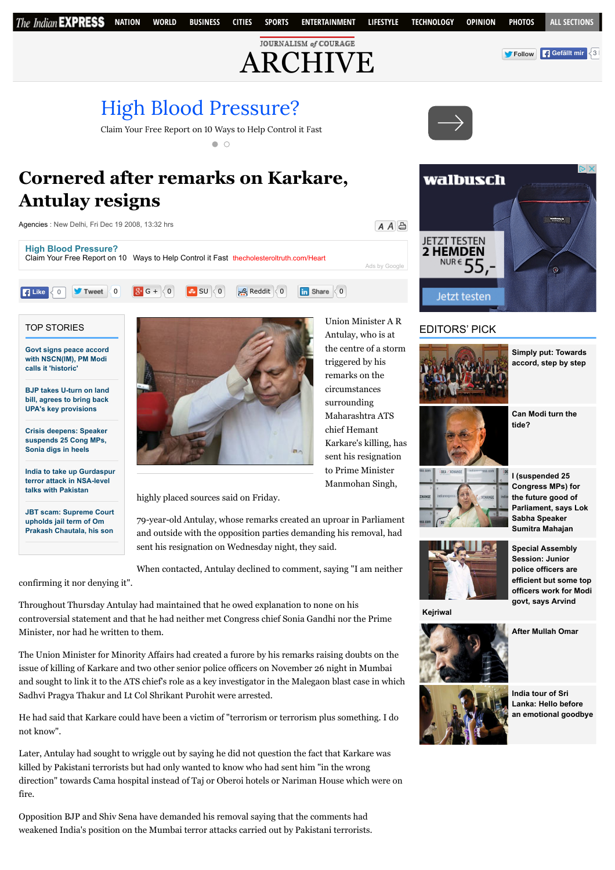# [High Blood Pressure?](http://www.googleadservices.com/pagead/aclk?sa=L&ai=Ck6jSOKnAVb6mMteobNKktMgLqvyhowayibbUjwLAjbcBEAEggp3WDGCV8qyCtAegAcr72vkDyAEBqQKk-akKAi26PuACAKgDAcgDmwSqBN4BT9CU4wJY_Xgw8YWQvhKtpig3bWcpRwR-cSai3Hiq0g91as-GOz0vmvCUXtHPn5KyIsSN3WZuyhJjB8YlHmtfEFCUNNnb5T8Ibsags4zUxx1o5QPFRolmnq08_40jEgB5erYNpGzLxOufiVb5ufsRiFWSBahsbFVQIYrRTpScBotnDggu3ruhdVQg3FQqd_wFkLGctjP_AV6CpVl6ksY8x0k6w-y6UeunbCEZb9phQPgNfBOHgxHoOjAeCvmGSMfQmKMoj1mHV-qXZO-DfGuRf8CgmwPUCDQlCVlfloUg4AQBiAYBgAeehKUGqAemvhvYBwE&num=1&cid=5GgYdNaYpyAILrITI8jfgNdz&sig=AOD64_14J8R-4AX-AkLqXa9W6c2_A6S_0w&client=ca-pub-9517772455344405&adurl=http://www.thecholesteroltruth.com/ppc/blood-pressure/0115.html)



 $\bullet$   $\circ$ 

# **Cornered after remarks on Karkare, Antulay resigns**

[Agencies](http://archive.indianexpress.com/columnist/agencies/) : New Delhi, Fri Dec 19 2008, 13:32 hrs







**with NSCN(IM), PM Modi calls it 'historic'**

**[BJP takes U-turn on land](http://indianexpress.com/article/india/india-others/bjp-takes-u-turn-on-land-bill-agrees-to-bring-back-upas-key-provisions/) bill, agrees to bring back UPA's key provisions**

**[Crisis deepens: Speaker](http://indianexpress.com/article/india/politics/black-day-for-democracy-sonia-gandhi-on-suspension-of-25-cong-mps/) suspends 25 Cong MPs, Sonia digs in heels**

**[India to take up Gurdaspur](http://indianexpress.com/article/india/india-others/india-pakistan-nsa-talks-india-to-take-up-gurdaspur-terror-attack/) terror attack in NSA-level talks with Pakistan**

**[JBT scam: Supreme Court](http://indianexpress.com/article/india/india-others/jbt-scam-supreme-court-upholds-jail-term-of-om-prakash-chautala-his-son/) upholds jail term of Om Prakash Chautala, his son**

confirming it nor denying it".



Maharashtra ATS chief Hemant Karkare's killing, has sent his resignation to Prime Minister Manmohan Singh,

Antulay, who is at the centre of a storm triggered by his remarks on the circumstances surrounding

highly placed sources said on Friday.

79-year-old Antulay, whose remarks created an uproar in Parliament and outside with the opposition parties demanding his removal, had sent his resignation on Wednesday night, they said.

When contacted, Antulay declined to comment, saying "I am neither

Throughout Thursday Antulay had maintained that he owed explanation to none on his controversial statement and that he had neither met Congress chief Sonia Gandhi nor the Prime Minister, nor had he written to them.

The Union Minister for Minority Affairs had created a furore by his remarks raising doubts on the issue of killing of Karkare and two other senior police officers on November 26 night in Mumbai and sought to link it to the ATS chief's role as a key investigator in the Malegaon blast case in which Sadhvi Pragya Thakur and Lt Col Shrikant Purohit were arrested.

He had said that Karkare could have been a victim of "terrorism or terrorism plus something. I do not know".

Later, Antulay had sought to wriggle out by saying he did not question the fact that Karkare was killed by Pakistani terrorists but had only wanted to know who had sent him "in the wrong direction" towards Cama hospital instead of Taj or Oberoi hotels or Nariman House which were on fire.

Opposition BJP and Shiv Sena have demanded his removal saying that the comments had weakened India's position on the Mumbai terror attacks carried out by Pakistani terrorists.





## EDITORS' PICK



**[Simply put: Towards](http://indianexpress.com/article/explained/simply-put-towards-accord-step-by-step/) accord, step by step**



**[Can Modi turn the](http://indianexpress.com/article/opinion/columns/can-modi-turn-the-tide/) tide?**



**I (suspended 25 Congress MPs) for the future good of [Parliament, says Lok](http://indianexpress.com/article/india/india-others/i-suspended-25-cong-mps-for-the-future-good-of-parliament-says-sumitra-mahajan/) Sabha Speaker Sumitra Mahajan**



**Special Assembly Session: Junior police officers are efficient but some top [officers work for Modi](http://indianexpress.com/article/cities/delhi/special-assembly-session-junior-police-officers-are-efficient-but-some-top-officers-work-for-modi-govt-says-arvind-kejriwal/) govt, says Arvind**

**Kejriwal**





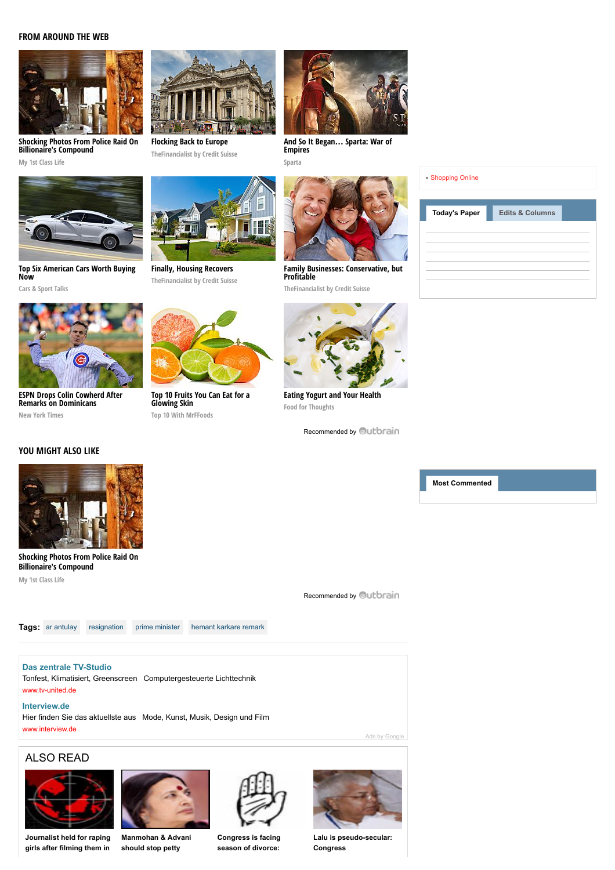### **FROM AROUND THE WEB**



**[Shocking Photos From Police Raid On](http://myfirstclasslife.com/billionaires-home-raided/?utm_source=ob-00d557e30d2400d39d915ffb09652f4278&utm_medium=outbrain&utm_campaign=na) Billionaire's Compound**

**My 1st Class Life**



**[Top Six American Cars Worth Buying](http://fryerschat.com/top-six-american-cars-worth-buying-now/) Now**

**Cars & Sport Talks**



**[ESPN Drops Colin Cowherd After](http://www.nytimes.com/2015/07/25/sports/baseball/colin-cowherd-tries-to-explain-remarks-on-dominicans.html?WT.mc_id=2015-AUGUST-OTB-INTL_AUD_DEV-0801-0831&WT.mc_ev=click&ad-keywords=IntlAudDev) Remarks on Dominicans New York Times**

### **YOU MIGHT ALSO LIKE**



**[Flocking Back to Europe](http://www.thefinancialist.com/flocking-back-to-europe/?utm_source=outbrain&utm_medium=cpc&utm_campaign=the_financialist_main_newer_content&utm_content=42051068&utm_term=5316898)**

**[Finally, Housing Recovers](http://www.thefinancialist.com/finally-housing-recovers/?utm_source=outbrain&utm_medium=cpc&utm_campaign=the_financialist_main_newer_content&utm_content=41225566&utm_term=5316898) TheFinancialist by Credit Suisse**



**[Top 10 Fruits You Can Eat for a](http://www.mrffoods.com/fruits-you-can-eat-for-a-glowing-skin/) Glowing Skin Top 10 With MrFFoods**



**[And So It Began](http://plarium.com/en/strategy-games/sparta-war-of-empires/?plid=67283&pxl=outbrain&publisherid=SP_EN_ROW_New_Pool_Test)… Sparta: War of Empires Sparta**



| <b>Today's Paper</b> | <b>Edits &amp; Columns</b> |  |
|----------------------|----------------------------|--|
|                      |                            |  |
|                      |                            |  |
|                      |                            |  |
|                      |                            |  |



**[Family Businesses: Conservative, but](http://www.thefinancialist.com/family-businesses-conservative-but-profitable/?utm_source=outbrain&utm_medium=cpc&utm_campaign=the_financialist_main_newer_content&utm_content=41582529&utm_term=5316898) Profitable**

**TheFinancialist by Credit Suisse**

**[Eating Yogurt and Your Health](http://blog.strauss-group.com/experts-sharing-knowledge/eating-yogurt-and-your-health/) Food for Thoughts**

[Recommended by](http://archive.indianexpress.com/news/cornered-after-remarks-on-karkare-antulay-resigns/400451/#) **Outbrain** 

**[Most Commented](javascript:void(0))**

[Recommended by](http://archive.indianexpress.com/news/cornered-after-remarks-on-karkare-antulay-resigns/400451/#) **Outbrain** 

**Billionaire's Compound My 1st Class Life**

**Tags:** [ar antulay](http://archive.indianexpress.com/gsearch.php?q=ar%20antulay) [resignation](http://archive.indianexpress.com/gsearch.php?q=%20resignation) [prime minister](http://archive.indianexpress.com/gsearch.php?q=%20prime%20minister) [hemant karkare remark](http://archive.indianexpress.com/gsearch.php?q=%20hemant%20karkare%20remark)

#### **[Das zentrale TV-Studio](http://googleads.g.doubleclick.net/aclk?sa=L&ai=C5XP9OanAVe-YI-L37QbWw56QAoaW474FlsvN4IwBwI23ARABIIKd1gwoAmCVuq6CtAfIAQGpAu3CetdsYrI-qAMBqgTHAU_QIb0a6DHBUhdHBdc4chgyVApaRrbp8NdzSb-k5QVkaBjvUzrHEqyj0FrjP5pZ7ByOYQjZ_Yrf0rm29tQm_YJbQCHUPcuxItjYX-xZ-GhM9ku9J4Bfo8656NgtqcjtXlGyqFdNjwKQuyB97hzj3znCwL6BwLFEqeIlUEeYHEBhfLxZuvyPxkswuGJv9iIsSkbMA3ktmoo31QbEv78ElOo1odmSXZ67_P0mUozfaNRPuV05zeagVaBr5irTRqXbpDA9_aPYoUOAB_74yS-oB6a-G9gHAQ&num=1&sig=AOD64_3DjYI8Mnesbdsx3aF8Mn90-tlmGQ&client=ca-pub-9517772455344405&adurl=http://www.tv-united.de)**

**[Shocking Photos From Police Raid On](http://myfirstclasslife.com/billionaires-home-raided/?utm_source=ob-00d557e30d2400d39d915ffb09652f4278&utm_medium=outbrain&utm_campaign=na)**

Tonfest, Klimatisiert, Greenscreen Computergesteuerte Lichttechnik [www.tv-united.de](http://googleads.g.doubleclick.net/aclk?sa=L&ai=C5XP9OanAVe-YI-L37QbWw56QAoaW474FlsvN4IwBwI23ARABIIKd1gwoAmCVuq6CtAfIAQGpAu3CetdsYrI-qAMBqgTHAU_QIb0a6DHBUhdHBdc4chgyVApaRrbp8NdzSb-k5QVkaBjvUzrHEqyj0FrjP5pZ7ByOYQjZ_Yrf0rm29tQm_YJbQCHUPcuxItjYX-xZ-GhM9ku9J4Bfo8656NgtqcjtXlGyqFdNjwKQuyB97hzj3znCwL6BwLFEqeIlUEeYHEBhfLxZuvyPxkswuGJv9iIsSkbMA3ktmoo31QbEv78ElOo1odmSXZ67_P0mUozfaNRPuV05zeagVaBr5irTRqXbpDA9_aPYoUOAB_74yS-oB6a-G9gHAQ&num=1&sig=AOD64_3DjYI8Mnesbdsx3aF8Mn90-tlmGQ&client=ca-pub-9517772455344405&adurl=http://www.tv-united.de)

#### **[Interview.de](http://www.googleadservices.com/pagead/aclk?sa=L&ai=CNMbfOanAVe-YI-L37QbWw56QAtqdtLUG8pjh54sCwI23ARACIIKd1gwoAmCVuq6CtAegAYbDp8wDyAEBqQLtwnrXbGKyPqgDAaoEygFP0FHuGugywVIXRwXXOHIYMlQKWka26fDXc0m_pOUFZGgY71M6xxKso9Ba4z-aWewcjmEI2f2K39K5tvbUJv2CW0Ah1D3LsSLY2F_sWfhoTPZLvSeAX6POuejYLanI7V5RsqhXTY8CkLsgfe4c4985wsC-gcCxRKniJVBHmBxAYXy8Wbr8j8ZLMLhib_YiLEpGzAN5LZqKf9WRz08FRm4OTX9Or4O6Dv-5k1HoK2v0u7pdDMbmlV7En6NOJwOmKqcz2ft92U6_MRORiAYBgAfivNgzqAemvhvYBwE&num=2&cid=5Ghx7fcCpMKvCTDr26_z48Y9&sig=AOD64_3M-gIPCm61BqcV943kBCqJn5tA9g&client=ca-pub-9517772455344405&adurl=http://www.interview.de)**

Hier finden Sie das aktuellste aus Mode, Kunst, Musik, Design und Film [www.interview.de](http://www.googleadservices.com/pagead/aclk?sa=L&ai=CNMbfOanAVe-YI-L37QbWw56QAtqdtLUG8pjh54sCwI23ARACIIKd1gwoAmCVuq6CtAegAYbDp8wDyAEBqQLtwnrXbGKyPqgDAaoEygFP0FHuGugywVIXRwXXOHIYMlQKWka26fDXc0m_pOUFZGgY71M6xxKso9Ba4z-aWewcjmEI2f2K39K5tvbUJv2CW0Ah1D3LsSLY2F_sWfhoTPZLvSeAX6POuejYLanI7V5RsqhXTY8CkLsgfe4c4985wsC-gcCxRKniJVBHmBxAYXy8Wbr8j8ZLMLhib_YiLEpGzAN5LZqKf9WRz08FRm4OTX9Or4O6Dv-5k1HoK2v0u7pdDMbmlV7En6NOJwOmKqcz2ft92U6_MRORiAYBgAfivNgzqAemvhvYBwE&num=2&cid=5Ghx7fcCpMKvCTDr26_z48Y9&sig=AOD64_3M-gIPCm61BqcV943kBCqJn5tA9g&client=ca-pub-9517772455344405&adurl=http://www.interview.de)

### ALSO READ



**[Journalist held for raping](http://archive.indianexpress.com/news/journalist-held-for-raping-girls-after-filming-them-in-sting/448794/) girls after filming them in**



**[Manmohan & Advani](http://archive.indianexpress.com/news/manmohan---advani-should-stop-petty-bickering-left/448561/) should stop petty**



**[Congress is facing](http://archive.indianexpress.com/news/congress-is-facing-season-of-divorce-rajnath/446496/) season of divorce:**



[Ads by Google](https://www.google.com/url?ct=abg&q=https://www.google.com/adsense/support/bin/request.py%3Fcontact%3Dabg_afc%26url%3Dhttp://archive.indianexpress.com/news/cornered-after-remarks-on-karkare-antulay-resigns/400451/%26gl%3DDE%26hl%3Den%26client%3Dca-pub-9517772455344405%26ai0%3DC5XP9OanAVe-YI-L37QbWw56QAoaW474FlsvN4IwBwI23ARABIIKd1gwoAmCVuq6CtAfIAQGpAu3CetdsYrI-qAMBqgTHAU_QIb0a6DHBUhdHBdc4chgyVApaRrbp8NdzSb-k5QVkaBjvUzrHEqyj0FrjP5pZ7ByOYQjZ_Yrf0rm29tQm_YJbQCHUPcuxItjYX-xZ-GhM9ku9J4Bfo8656NgtqcjtXlGyqFdNjwKQuyB97hzj3znCwL6BwLFEqeIlUEeYHEBhfLxZuvyPxkswuGJv9iIsSkbMA3ktmoo31QbEv78ElOo1odmSXZ67_P0mUozfaNRPuV05zeagVaBr5irTRqXbpDA9_aPYoUOAB_74yS-oB6a-G9gHAQ%26ai1%3DCNMbfOanAVe-YI-L37QbWw56QAtqdtLUG8pjh54sCwI23ARACIIKd1gwoAmCVuq6CtAegAYbDp8wDyAEBqQLtwnrXbGKyPqgDAaoEygFP0FHuGugywVIXRwXXOHIYMlQKWka26fDXc0m_pOUFZGgY71M6xxKso9Ba4z-aWewcjmEI2f2K39K5tvbUJv2CW0Ah1D3LsSLY2F_sWfhoTPZLvSeAX6POuejYLanI7V5RsqhXTY8CkLsgfe4c4985wsC-gcCxRKniJVBHmBxAYXy8Wbr8j8ZLMLhib_YiLEpGzAN5LZqKf9WRz08FRm4OTX9Or4O6Dv-5k1HoK2v0u7pdDMbmlV7En6NOJwOmKqcz2ft92U6_MRORiAYBgAfivNgzqAemvhvYBwE&usg=AFQjCNE6OoRDecrUedaztl4wyTIOB2FEag)

**[Lalu is pseudo-secular:](http://archive.indianexpress.com/news/lalu-is-pseudosecular-congress/446115/) Congress**